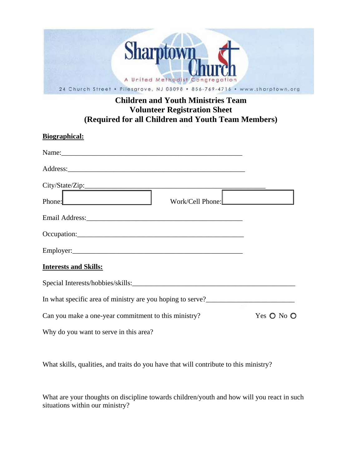| Sharptown<br>A United Methodist Congregation<br>24 Church Street . Pilesgrove, NJ 08098 . 856-769-4716 . www.sharptown.org                                                                                                     |            |
|--------------------------------------------------------------------------------------------------------------------------------------------------------------------------------------------------------------------------------|------------|
| <b>Children and Youth Ministries Team</b><br><b>Volunteer Registration Sheet</b>                                                                                                                                               |            |
| (Required for all Children and Youth Team Members)<br><b>Biographical:</b>                                                                                                                                                     |            |
| Name: Name and the set of the set of the set of the set of the set of the set of the set of the set of the set of the set of the set of the set of the set of the set of the set of the set of the set of the set of the set o |            |
|                                                                                                                                                                                                                                |            |
|                                                                                                                                                                                                                                |            |
| Phone:<br>Work/Cell Phone:                                                                                                                                                                                                     |            |
| Email Address: No. 1996. The Contract of the Contract of the Contract of the Contract of the Contract of the Contract of the Contract of the Contract of the Contract of the Contract of the Contract of the Contract of the C |            |
|                                                                                                                                                                                                                                |            |
|                                                                                                                                                                                                                                |            |
| <b>Interests and Skills:</b>                                                                                                                                                                                                   |            |
|                                                                                                                                                                                                                                |            |
| In what specific area of ministry are you hoping to serve?____                                                                                                                                                                 |            |
| Can you make a one-year commitment to this ministry?                                                                                                                                                                           | Yes O No O |
| Why do you want to serve in this area?                                                                                                                                                                                         |            |

What skills, qualities, and traits do you have that will contribute to this ministry?

What are your thoughts on discipline towards children/youth and how will you react in such situations within our ministry?